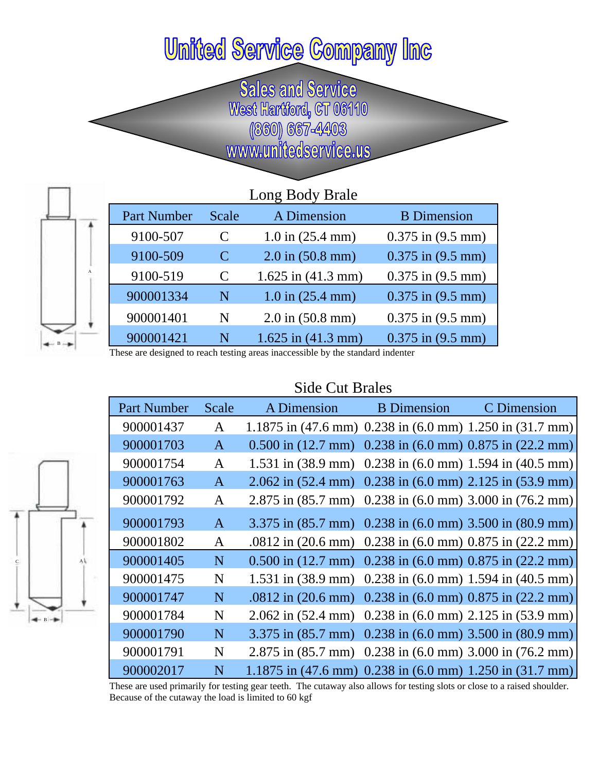## **United Service Company Inc**

Sales and Service<br>West Hartford, CT 06110<br>(860) 667-4403<br>www.unitedservice.us

|              | Long Body Brale |               |                        |                       |  |  |
|--------------|-----------------|---------------|------------------------|-----------------------|--|--|
|              | Part Number     | Scale         | A Dimension            | <b>B</b> Dimension    |  |  |
|              | 9100-507        | C             | $1.0$ in $(25.4$ mm)   | $0.375$ in $(9.5$ mm) |  |  |
|              | 9100-509        | $\mathcal{C}$ | $2.0$ in $(50.8$ mm)   | $0.375$ in $(9.5$ mm) |  |  |
| $\mathbf{A}$ | 9100-519        | $\mathcal{C}$ | $1.625$ in $(41.3$ mm) | $0.375$ in $(9.5$ mm) |  |  |
|              | 900001334       | N             | $1.0$ in $(25.4$ mm)   | $0.375$ in $(9.5$ mm) |  |  |
|              | 900001401       | N             | $2.0$ in $(50.8$ mm)   | $0.375$ in $(9.5$ mm) |  |  |
|              | 900001421       | N             | $1.625$ in $(41.3$ mm) | $0.375$ in $(9.5$ mm) |  |  |

These are designed to reach testing areas inaccessible by the standard indenter

B

B

C A

## Side Cut Brales

| Part Number | Scale | A Dimension                                                                            | <b>B</b> Dimension | C Dimension |
|-------------|-------|----------------------------------------------------------------------------------------|--------------------|-------------|
| 900001437   | A     | 1.1875 in $(47.6 \text{ mm})$ 0.238 in $(6.0 \text{ mm})$ 1.250 in $(31.7 \text{ mm})$ |                    |             |
| 900001703   | A     | $0.500$ in $(12.7$ mm $)$ $0.238$ in $(6.0$ mm $)$ $0.875$ in $(22.2$ mm $)$           |                    |             |
| 900001754   | A     | 1.531 in $(38.9 \text{ mm})$ 0.238 in $(6.0 \text{ mm})$ 1.594 in $(40.5 \text{ mm})$  |                    |             |
| 900001763   | A     | 2.062 in $(52.4 \text{ mm})$ 0.238 in $(6.0 \text{ mm})$ 2.125 in $(53.9 \text{ mm})$  |                    |             |
| 900001792   | A     | 2.875 in (85.7 mm) 0.238 in (6.0 mm) 3.000 in (76.2 mm)                                |                    |             |
| 900001793   | A     | 3.375 in $(85.7 \text{ mm})$ 0.238 in $(6.0 \text{ mm})$ 3.500 in $(80.9 \text{ mm})$  |                    |             |
| 900001802   | A     | .0812 in $(20.6 \text{ mm})$ 0.238 in $(6.0 \text{ mm})$ 0.875 in $(22.2 \text{ mm})$  |                    |             |
| 900001405   | N     | $0.500$ in $(12.7$ mm $)$ $0.238$ in $(6.0$ mm $)$ $0.875$ in $(22.2$ mm $)$           |                    |             |
| 900001475   | N     | 1.531 in $(38.9 \text{ mm})$ 0.238 in $(6.0 \text{ mm})$ 1.594 in $(40.5 \text{ mm})$  |                    |             |
| 900001747   | N     | .0812 in (20.6 mm) 0.238 in (6.0 mm) 0.875 in (22.2 mm)                                |                    |             |
| 900001784   | N     | 2.062 in $(52.4 \text{ mm})$ 0.238 in $(6.0 \text{ mm})$ 2.125 in $(53.9 \text{ mm})$  |                    |             |
| 900001790   | N     | 3.375 in (85.7 mm) 0.238 in (6.0 mm) 3.500 in (80.9 mm)                                |                    |             |
| 900001791   | N     | 2.875 in $(85.7 \text{ mm})$ 0.238 in $(6.0 \text{ mm})$ 3.000 in $(76.2 \text{ mm})$  |                    |             |
| 900002017   | N     | 1.1875 in $(47.6 \text{ mm})$ 0.238 in $(6.0 \text{ mm})$ 1.250 in $(31.7 \text{ mm})$ |                    |             |

These are used primarily for testing gear teeth. The cutaway also allows for testing slots or close to a raised shoulder. Because of the cutaway the load is limited to 60 kgf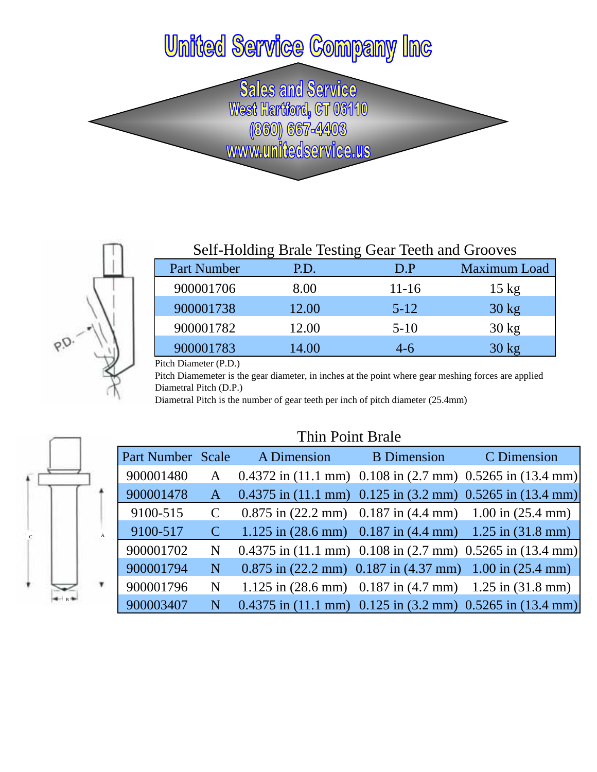## **United Service Company Inc**

Sales and Service<br>West Hartford, GT 06110<br>(860) 667-4403<br>www.unitedservice.us



|                                                             |       | Self-Holding Brale Testing Gear Teeth and Grooves |                 |
|-------------------------------------------------------------|-------|---------------------------------------------------|-----------------|
| Part Number                                                 | P.D.  | D.P                                               | Maximum Load    |
| 900001706                                                   | 8.00  | $11 - 16$                                         | $15 \text{ kg}$ |
| 900001738                                                   | 12.00 | $5 - 12$                                          | $30 \text{ kg}$ |
| 900001782                                                   | 12.00 | $5-10$                                            | $30 \text{ kg}$ |
| 900001783                                                   | 14.00 | $4-6$                                             | $30 \text{ kg}$ |
| $\mathsf{Ditch\;Diameter}\left(\mathsf{D}\mathsf{D}\right)$ |       |                                                   |                 |

Pitch Diameter (P.D.)

Pitch Diamemeter is the gear diameter, in inches at the point where gear meshing forces are applied Diametral Pitch (D.P.)

Diametral Pitch is the number of gear teeth per inch of pitch diameter (25.4mm)

|              |              | Thin Point Brale  |               |                                                           |                    |                                                                                      |  |
|--------------|--------------|-------------------|---------------|-----------------------------------------------------------|--------------------|--------------------------------------------------------------------------------------|--|
|              |              | Part Number Scale |               | A Dimension                                               | <b>B</b> Dimension | C Dimension                                                                          |  |
|              |              | 900001480         | $\mathbf{A}$  |                                                           |                    | $0.4372$ in (11.1 mm) 0.108 in (2.7 mm) 0.5265 in (13.4 mm)                          |  |
|              |              | 900001478         | $\mathbf{A}$  |                                                           |                    | $0.4375$ in (11.1 mm) 0.125 in (3.2 mm) 0.5265 in (13.4 mm)                          |  |
|              |              | 9100-515          |               |                                                           |                    | $0.875$ in (22.2 mm) $0.187$ in (4.4 mm) $1.00$ in (25.4 mm)                         |  |
| $\mathbf{c}$ | $\mathbf{A}$ | 9100-517          | $\mathcal{C}$ |                                                           |                    | 1.125 in $(28.6 \text{ mm})$ 0.187 in $(4.4 \text{ mm})$ 1.25 in $(31.8 \text{ mm})$ |  |
|              |              | 900001702         | N             |                                                           |                    | $0.4375$ in $(11.1$ mm) $0.108$ in $(2.7$ mm) $0.5265$ in $(13.4$ mm)                |  |
|              |              | 900001794         | N             | $0.875$ in (22.2 mm) 0.187 in (4.37 mm) 1.00 in (25.4 mm) |                    |                                                                                      |  |
|              |              | 900001796         | N             |                                                           |                    | 1.125 in $(28.6 \text{ mm})$ 0.187 in $(4.7 \text{ mm})$ 1.25 in $(31.8 \text{ mm})$ |  |
|              |              | 900003407         | N             |                                                           |                    | $0.4375$ in $(11.1$ mm) $0.125$ in $(3.2$ mm) $0.5265$ in $(13.4$ mm)                |  |

## Thin Point Brale